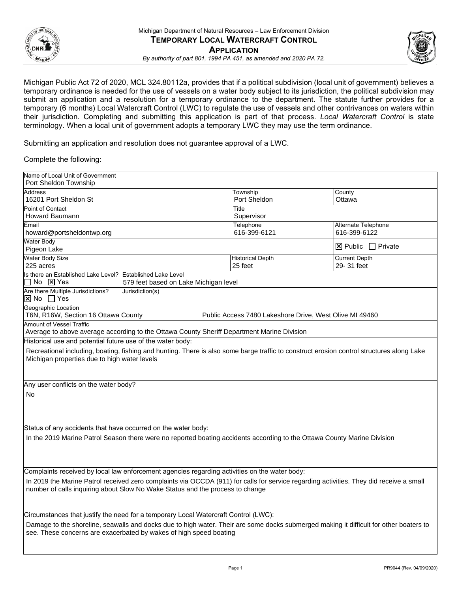

 Michigan Public Act 72 of 2020, MCL 324.80112a, provides that if a political subdivision (local unit of government) believes a terminology. When a local unit of government adopts a temporary LWC they may use the term ordinance. temporary ordinance is needed for the use of vessels on a water body subject to its jurisdiction, the political subdivision may submit an application and a resolution for a temporary ordinance to the department. The statute further provides for a temporary (6 months) Local Watercraft Control (LWC) to regulate the use of vessels and other contrivances on waters within their jurisdiction. Completing and submitting this application is part of that process. *Local Watercraft Control* is state

Submitting an application and resolution does not guarantee approval of a LWC.

## Complete the following:

| Name of Local Unit of Government                                                                                                                                                          |                                                                                            |                         |                                   |  |  |  |
|-------------------------------------------------------------------------------------------------------------------------------------------------------------------------------------------|--------------------------------------------------------------------------------------------|-------------------------|-----------------------------------|--|--|--|
| Port Sheldon Township                                                                                                                                                                     |                                                                                            |                         |                                   |  |  |  |
| <b>Address</b>                                                                                                                                                                            |                                                                                            | Township                | County                            |  |  |  |
| 16201 Port Sheldon St                                                                                                                                                                     |                                                                                            | Port Sheldon            | Ottawa                            |  |  |  |
| <b>Point of Contact</b>                                                                                                                                                                   |                                                                                            | Title                   |                                   |  |  |  |
| Howard Baumann                                                                                                                                                                            |                                                                                            | Supervisor              |                                   |  |  |  |
| Email                                                                                                                                                                                     |                                                                                            | Telephone               | Alternate Telephone               |  |  |  |
| howard@portsheldontwp.org                                                                                                                                                                 |                                                                                            | 616-399-6121            | 616-399-6122                      |  |  |  |
| <b>Water Body</b><br>Pigeon Lake                                                                                                                                                          |                                                                                            |                         | $\boxtimes$ Public $\Box$ Private |  |  |  |
| <b>Water Body Size</b>                                                                                                                                                                    |                                                                                            | <b>Historical Depth</b> | <b>Current Depth</b>              |  |  |  |
| 225 acres                                                                                                                                                                                 |                                                                                            | 25 feet                 | 29- 31 feet                       |  |  |  |
| Is there an Established Lake Level?                                                                                                                                                       | <b>Established Lake Level</b>                                                              |                         |                                   |  |  |  |
| No X Yes                                                                                                                                                                                  | 579 feet based on Lake Michigan level                                                      |                         |                                   |  |  |  |
| Are there Multiple Jurisdictions?<br><b>X</b> No □ Yes                                                                                                                                    | Jurisdiction(s)                                                                            |                         |                                   |  |  |  |
| Geographic Location<br>T6N, R16W, Section 16 Ottawa County<br>Public Access 7480 Lakeshore Drive, West Olive MI 49460                                                                     |                                                                                            |                         |                                   |  |  |  |
| <b>Amount of Vessel Traffic</b>                                                                                                                                                           |                                                                                            |                         |                                   |  |  |  |
|                                                                                                                                                                                           | Average to above average according to the Ottawa County Sheriff Department Marine Division |                         |                                   |  |  |  |
| Historical use and potential future use of the water body:                                                                                                                                |                                                                                            |                         |                                   |  |  |  |
|                                                                                                                                                                                           |                                                                                            |                         |                                   |  |  |  |
| Recreational including, boating, fishing and hunting. There is also some barge traffic to construct erosion control structures along Lake<br>Michigan properties due to high water levels |                                                                                            |                         |                                   |  |  |  |
|                                                                                                                                                                                           |                                                                                            |                         |                                   |  |  |  |
|                                                                                                                                                                                           |                                                                                            |                         |                                   |  |  |  |
| Any user conflicts on the water body?                                                                                                                                                     |                                                                                            |                         |                                   |  |  |  |
| <b>No</b>                                                                                                                                                                                 |                                                                                            |                         |                                   |  |  |  |
|                                                                                                                                                                                           |                                                                                            |                         |                                   |  |  |  |
|                                                                                                                                                                                           |                                                                                            |                         |                                   |  |  |  |
|                                                                                                                                                                                           |                                                                                            |                         |                                   |  |  |  |
|                                                                                                                                                                                           |                                                                                            |                         |                                   |  |  |  |
| Status of any accidents that have occurred on the water body:                                                                                                                             |                                                                                            |                         |                                   |  |  |  |
| In the 2019 Marine Patrol Season there were no reported boating accidents according to the Ottawa County Marine Division                                                                  |                                                                                            |                         |                                   |  |  |  |
|                                                                                                                                                                                           |                                                                                            |                         |                                   |  |  |  |
|                                                                                                                                                                                           |                                                                                            |                         |                                   |  |  |  |
|                                                                                                                                                                                           |                                                                                            |                         |                                   |  |  |  |
| Complaints received by local law enforcement agencies regarding activities on the water body:                                                                                             |                                                                                            |                         |                                   |  |  |  |
| In 2019 the Marine Patrol received zero complaints via OCCDA (911) for calls for service regarding activities. They did receive a small                                                   |                                                                                            |                         |                                   |  |  |  |
| number of calls inquiring about Slow No Wake Status and the process to change                                                                                                             |                                                                                            |                         |                                   |  |  |  |
|                                                                                                                                                                                           |                                                                                            |                         |                                   |  |  |  |
|                                                                                                                                                                                           |                                                                                            |                         |                                   |  |  |  |
| Circumstances that justify the need for a temporary Local Watercraft Control (LWC):                                                                                                       |                                                                                            |                         |                                   |  |  |  |
| Damage to the shoreline, seawalls and docks due to high water. Their are some docks submerged making it difficult for other boaters to                                                    |                                                                                            |                         |                                   |  |  |  |
| see. These concerns are exacerbated by wakes of high speed boating                                                                                                                        |                                                                                            |                         |                                   |  |  |  |
|                                                                                                                                                                                           |                                                                                            |                         |                                   |  |  |  |